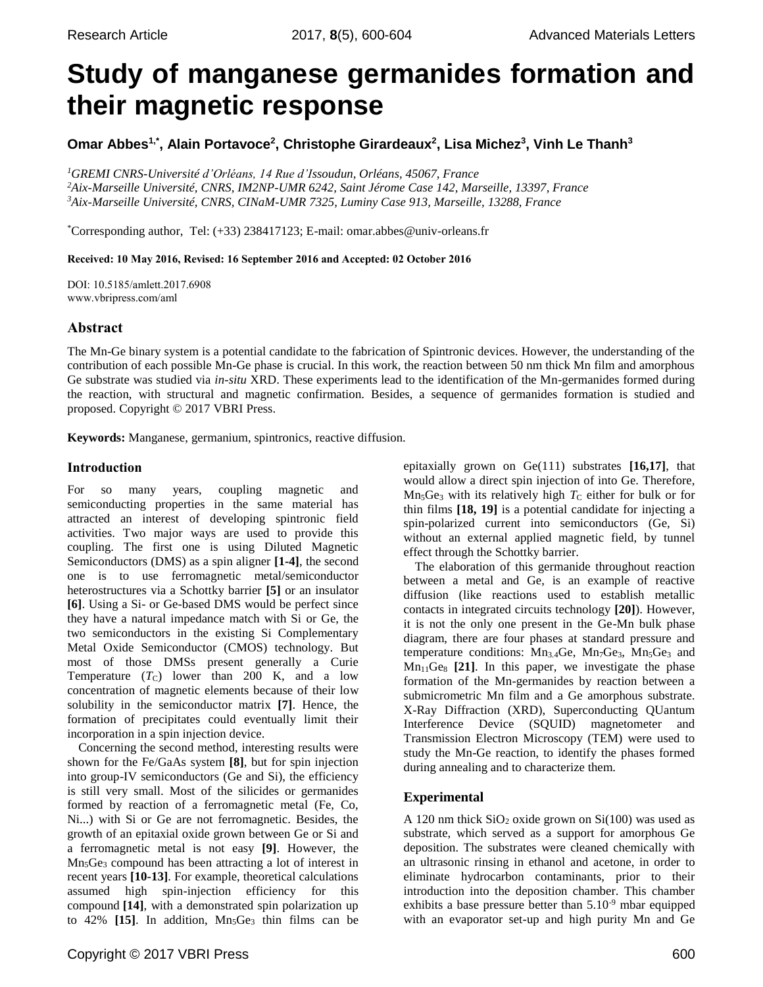# **Study of manganese germanides formation and their magnetic response**

**Omar Abbes1,\*, Alain Portavoce<sup>2</sup> , Christophe Girardeaux<sup>2</sup> , Lisa Michez<sup>3</sup> , Vinh Le Thanh<sup>3</sup>**

*<sup>1</sup>GREMI CNRS-Université d'Orléans, 14 Rue d'Issoudun, Orléans, 45067, France <sup>2</sup>Aix-Marseille Université, CNRS, IM2NP-UMR 6242, Saint Jérome Case 142, Marseille, 13397, France <sup>3</sup>Aix-Marseille Université, CNRS, CINaM-UMR 7325, Luminy Case 913, Marseille, 13288, France*

\*Corresponding author, Tel: (+33) 238417123; E-mail: omar.abbes@univ-orleans.fr

## Received: 10 May 2016, Revised: 16 September 2016 and Accepted: 02 October 2016

DOI: 10.5185/amlett.2017.6908 www.vbripress.com/aml

# Abstract

The Mn-Ge binary system is a potential candidate to the fabrication of Spintronic devices. However, the understanding of the contribution of each possible Mn-Ge phase is crucial. In this work, the reaction between 50 nm thick Mn film and amorphous Ge substrate was studied via *in-situ* XRD. These experiments lead to the identification of the Mn-germanides formed during the reaction, with structural and magnetic confirmation. Besides, a sequence of germanides formation is studied and proposed. Copyright © 2017 VBRI Press.

**Keywords:** Manganese, germanium, spintronics, reactive diffusion.

## Introduction

For so many years, coupling magnetic and semiconducting properties in the same material has attracted an interest of developing spintronic field activities. Two major ways are used to provide this coupling. The first one is using Diluted Magnetic Semiconductors (DMS) as a spin aligner **[1-4]**, the second one is to use ferromagnetic metal/semiconductor heterostructures via a Schottky barrier **[5]** or an insulator **[6]**. Using a Si- or Ge-based DMS would be perfect since they have a natural impedance match with Si or Ge, the two semiconductors in the existing Si Complementary Metal Oxide Semiconductor (CMOS) technology. But most of those DMSs present generally a Curie Temperature  $(T_C)$  lower than 200 K, and a low concentration of magnetic elements because of their low solubility in the semiconductor matrix **[7]**. Hence, the formation of precipitates could eventually limit their incorporation in a spin injection device.

Concerning the second method, interesting results were shown for the Fe/GaAs system **[8]**, but for spin injection into group-IV semiconductors (Ge and Si), the efficiency is still very small. Most of the silicides or germanides formed by reaction of a ferromagnetic metal (Fe, Co, Ni...) with Si or Ge are not ferromagnetic. Besides, the growth of an epitaxial oxide grown between Ge or Si and a ferromagnetic metal is not easy **[9]**. However, the Mn5Ge<sup>3</sup> compound has been attracting a lot of interest in recent years **[10-13]**. For example, theoretical calculations assumed high spin-injection efficiency for this compound **[14]**, with a demonstrated spin polarization up to 42% [15]. In addition, Mn<sub>5</sub>Ge<sub>3</sub> thin films can be epitaxially grown on Ge(111) substrates **[16,17]**, that would allow a direct spin injection of into Ge. Therefore,  $Mn_5Ge_3$  with its relatively high  $T_c$  either for bulk or for thin films **[18, 19]** is a potential candidate for injecting a spin-polarized current into semiconductors (Ge, Si) without an external applied magnetic field, by tunnel effect through the Schottky barrier.

The elaboration of this germanide throughout reaction between a metal and Ge, is an example of reactive diffusion (like reactions used to establish metallic contacts in integrated circuits technology **[20]**). However, it is not the only one present in the Ge-Mn bulk phase diagram, there are four phases at standard pressure and temperature conditions:  $Mn<sub>3.4</sub>Ge$ ,  $Mn<sub>7</sub>Ge$ <sub>3</sub>,  $Mn<sub>5</sub>Ge$ <sub>3</sub> and  $Mn<sub>11</sub>Ge<sub>8</sub>$  [21]. In this paper, we investigate the phase formation of the Mn-germanides by reaction between a submicrometric Mn film and a Ge amorphous substrate. X-Ray Diffraction (XRD), Superconducting QUantum Interference Device (SQUID) magnetometer and Transmission Electron Microscopy (TEM) were used to study the Mn-Ge reaction, to identify the phases formed during annealing and to characterize them.

# **Experimental**

A 120 nm thick  $SiO<sub>2</sub>$  oxide grown on  $Si(100)$  was used as substrate, which served as a support for amorphous Ge deposition. The substrates were cleaned chemically with an ultrasonic rinsing in ethanol and acetone, in order to eliminate hydrocarbon contaminants, prior to their introduction into the deposition chamber. This chamber exhibits a base pressure better than  $5.10^{-9}$  mbar equipped with an evaporator set-up and high purity Mn and Ge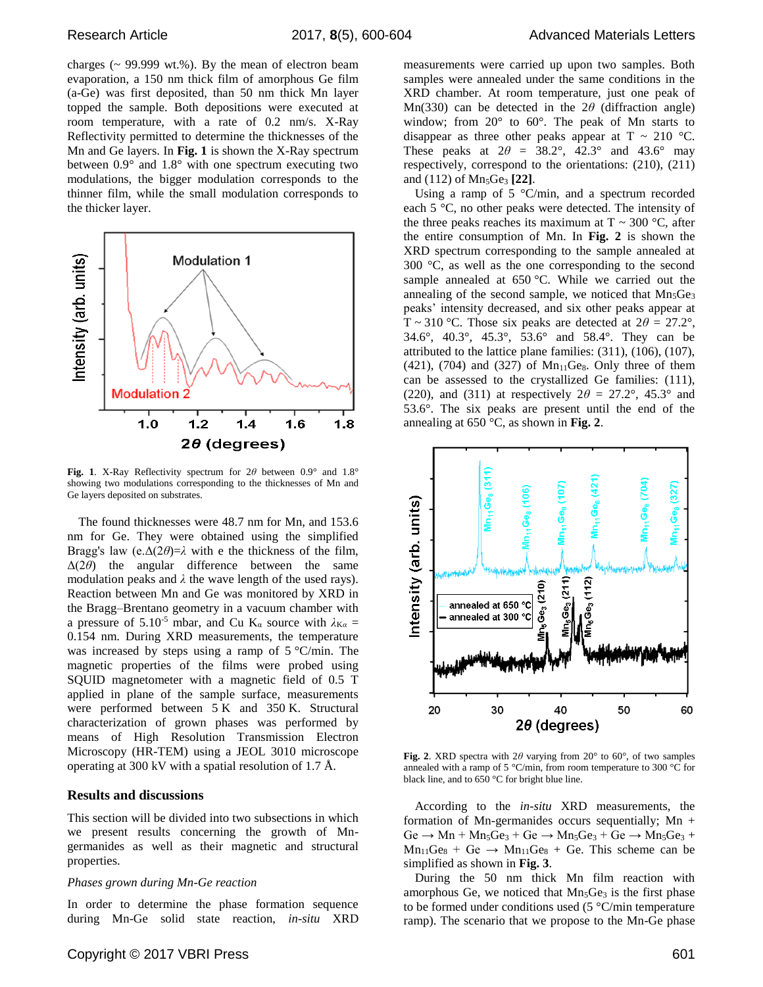charges  $\sim$  99.999 wt.%). By the mean of electron beam evaporation, a 150 nm thick film of amorphous Ge film (a-Ge) was first deposited, than 50 nm thick Mn layer topped the sample. Both depositions were executed at room temperature, with a rate of 0.2 nm/s. X-Ray Reflectivity permitted to determine the thicknesses of the Mn and Ge layers. In **Fig. 1** is shown the X-Ray spectrum between 0.9° and 1.8° with one spectrum executing two modulations, the bigger modulation corresponds to the thinner film, while the small modulation corresponds to the thicker layer.



**Fig. 1**. X-Ray Reflectivity spectrum for 2*θ* between 0.9° and 1.8° showing two modulations corresponding to the thicknesses of Mn and Ge layers deposited on substrates.

The found thicknesses were 48.7 nm for Mn, and 153.6 nm for Ge. They were obtained using the simplified Bragg's law (e. $\Delta(2\theta)=\lambda$  with e the thickness of the film, Δ(2*θ*) the angular difference between the same modulation peaks and  $\lambda$  the wave length of the used rays). Reaction between Mn and Ge was monitored by XRD in the Bragg–Brentano geometry in a vacuum chamber with a pressure of 5.10<sup>-5</sup> mbar, and Cu K<sub>α</sub> source with  $\lambda_{K\alpha}$  = 0.154 nm. During XRD measurements, the temperature was increased by steps using a ramp of 5 °C/min. The magnetic properties of the films were probed using SQUID magnetometer with a magnetic field of 0.5 T applied in plane of the sample surface, measurements were performed between 5 K and 350 K. Structural characterization of grown phases was performed by means of High Resolution Transmission Electron Microscopy (HR-TEM) using a JEOL 3010 microscope operating at 300 kV with a spatial resolution of 1.7 Å.

#### **Results and discussions**

This section will be divided into two subsections in which we present results concerning the growth of Mngermanides as well as their magnetic and structural properties.

#### *Phases grown during Mn-Ge reaction*

In order to determine the phase formation sequence during Mn-Ge solid state reaction, *in-situ* XRD measurements were carried up upon two samples. Both samples were annealed under the same conditions in the XRD chamber. At room temperature, just one peak of Mn(330) can be detected in the  $2\theta$  (diffraction angle) window; from 20° to 60°. The peak of Mn starts to disappear as three other peaks appear at  $T \sim 210$  °C. These peaks at  $2\theta = 38.2^{\circ}$ ,  $42.3^{\circ}$  and  $43.6^{\circ}$  may respectively, correspond to the orientations: (210), (211) and (112) of Mn<sub>5</sub>Ge<sub>3</sub> [22].

Using a ramp of  $5 \degree$ C/min, and a spectrum recorded each 5 °C, no other peaks were detected. The intensity of the three peaks reaches its maximum at  $T \sim 300$  °C, after the entire consumption of Mn. In **Fig. 2** is shown the XRD spectrum corresponding to the sample annealed at 300 °C, as well as the one corresponding to the second sample annealed at 650 °C. While we carried out the annealing of the second sample, we noticed that Mn<sub>5</sub>Ge<sub>3</sub> peaks' intensity decreased, and six other peaks appear at T ~ 310 °C. Those six peaks are detected at  $2\theta = 27.2^{\circ}$ , 34.6°, 40.3°, 45.3°, 53.6° and 58.4°. They can be attributed to the lattice plane families: (311), (106), (107),  $(421)$ ,  $(704)$  and  $(327)$  of Mn<sub>11</sub>Ge<sub>8</sub>. Only three of them can be assessed to the crystallized Ge families: (111), (220), and (311) at respectively  $2\theta = 27.2^{\circ}$ , 45.3° and 53.6°. The six peaks are present until the end of the annealing at 650 °C, as shown in **Fig. 2**.



**Fig. 2**. XRD spectra with  $2\theta$  varying from  $20^{\circ}$  to  $60^{\circ}$ , of two samples annealed with a ramp of 5 °C/min, from room temperature to 300 °C for black line, and to 650 °C for bright blue line.

According to the *in-situ* XRD measurements, the formation of Mn-germanides occurs sequentially;  $Mn +$  $Ge \rightarrow Mn + Mn_5Ge_3 + Ge \rightarrow Mn_5Ge_3 + Ge \rightarrow Mn_5Ge_3 +$  $Mn_{11}Ge_8 + Ge \rightarrow Mn_{11}Ge_8 + Ge$ . This scheme can be simplified as shown in **Fig. 3**.

During the 50 nm thick Mn film reaction with amorphous Ge, we noticed that  $Mn_5Ge_3$  is the first phase to be formed under conditions used  $(5 °C/min)$  temperature ramp). The scenario that we propose to the Mn-Ge phase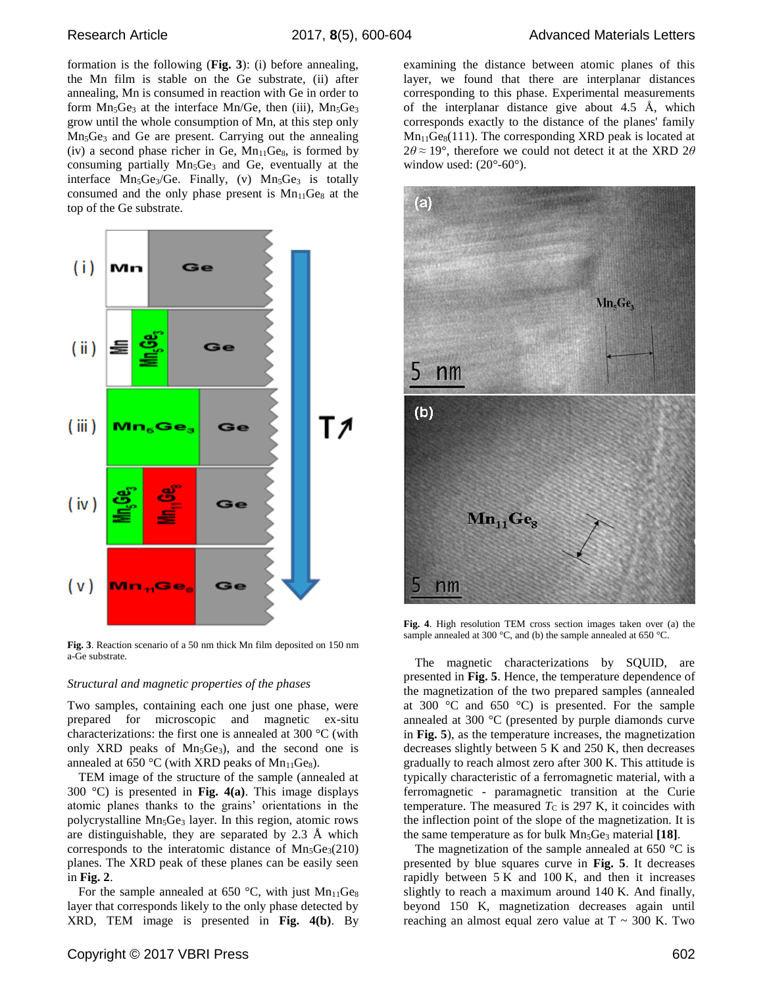formation is the following (**Fig. 3**): (i) before annealing, the Mn film is stable on the Ge substrate, (ii) after annealing, Mn is consumed in reaction with Ge in order to form  $Mn_5Ge_3$  at the interface  $Mn/Ge$ , then (iii),  $Mn_5Ge_3$ grow until the whole consumption of Mn, at this step only Mn5Ge<sup>3</sup> and Ge are present. Carrying out the annealing (iv) a second phase richer in Ge,  $Mn_{11}Ge_8$ , is formed by consuming partially Mn<sub>5</sub>Ge<sub>3</sub> and Ge, eventually at the interface  $Mn_5Ge_3/Ge$ . Finally, (v)  $Mn_5Ge_3$  is totally consumed and the only phase present is  $Mn_{11}Ge_8$  at the top of the Ge substrate.



**Fig. 3**. Reaction scenario of a 50 nm thick Mn film deposited on 150 nm a-Ge substrate.

#### *Structural and magnetic properties of the phases*

Two samples, containing each one just one phase, were prepared for microscopic and magnetic ex-situ characterizations: the first one is annealed at 300 °C (with only XRD peaks of  $Mn_5Ge_3$ , and the second one is annealed at  $650 \degree C$  (with XRD peaks of Mn<sub>11</sub>Ge<sub>8</sub>).

TEM image of the structure of the sample (annealed at 300 °C) is presented in **Fig. 4(a)**. This image displays atomic planes thanks to the grains' orientations in the polycrystalline Mn<sub>5</sub>Ge<sub>3</sub> layer. In this region, atomic rows are distinguishable, they are separated by 2.3 Å which corresponds to the interatomic distance of  $Mn_5Ge_3(210)$ planes. The XRD peak of these planes can be easily seen in **Fig. 2**.

For the sample annealed at 650 °C, with just  $Mn_{11}Ge_8$ layer that corresponds likely to the only phase detected by XRD, TEM image is presented in **Fig. 4(b)**. By



**Fig. 4**. High resolution TEM cross section images taken over (a) the sample annealed at 300 °C, and (b) the sample annealed at 650 °C.

The magnetic characterizations by SQUID, are presented in **Fig. 5**. Hence, the temperature dependence of the magnetization of the two prepared samples (annealed at 300  $\degree$ C and 650  $\degree$ C) is presented. For the sample annealed at 300 °C (presented by purple diamonds curve in **Fig. 5**), as the temperature increases, the magnetization decreases slightly between 5 K and 250 K, then decreases gradually to reach almost zero after 300 K. This attitude is typically characteristic of a ferromagnetic material, with a ferromagnetic - paramagnetic transition at the Curie temperature. The measured  $T<sub>C</sub>$  is 297 K, it coincides with the inflection point of the slope of the magnetization. It is the same temperature as for bulk Mn<sub>5</sub>Ge<sub>3</sub> material [18].

The magnetization of the sample annealed at 650  $^{\circ}$ C is presented by blue squares curve in **Fig. 5**. It decreases rapidly between  $5 K$  and  $100 K$ , and then it increases slightly to reach a maximum around 140 K. And finally, beyond 150 K, magnetization decreases again until reaching an almost equal zero value at  $T \sim 300$  K. Two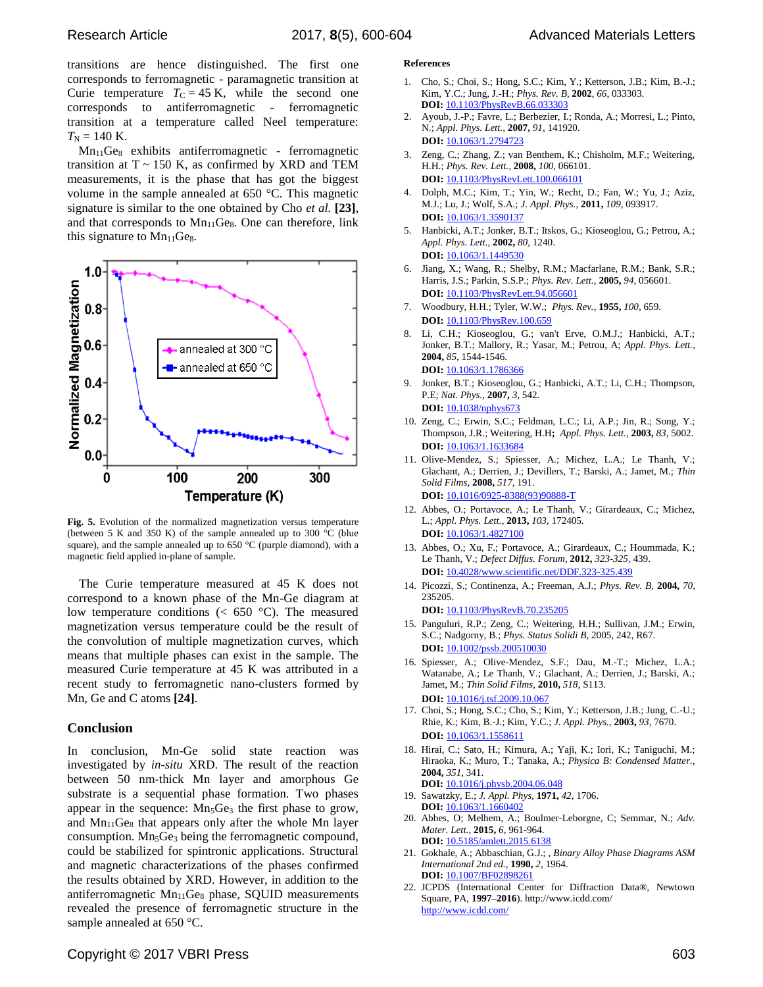transitions are hence distinguished. The first one corresponds to ferromagnetic - paramagnetic transition at Curie temperature  $T_C = 45$  K, while the second one corresponds to antiferromagnetic - ferromagnetic transition at a temperature called Neel temperature:  $T_N = 140$  K.

 $Mn<sub>11</sub>Ge<sub>8</sub>$  exhibits antiferromagnetic - ferromagnetic transition at  $T \sim 150$  K, as confirmed by XRD and TEM measurements, it is the phase that has got the biggest volume in the sample annealed at 650 °C. This magnetic signature is similar to the one obtained by Cho *et al.* **[23]**, and that corresponds to  $Mn<sub>11</sub>Ge<sub>8</sub>$ . One can therefore, link this signature to  $Mn_{11}Ge_8$ .



**Fig. 5.** Evolution of the normalized magnetization versus temperature (between 5 K and 350 K) of the sample annealed up to 300 °C (blue square), and the sample annealed up to 650 °C (purple diamond), with a magnetic field applied in-plane of sample.

The Curie temperature measured at 45 K does not correspond to a known phase of the Mn-Ge diagram at low temperature conditions ( $\lt$  650 °C). The measured magnetization versus temperature could be the result of the convolution of multiple magnetization curves, which means that multiple phases can exist in the sample. The measured Curie temperature at 45 K was attributed in a recent study to ferromagnetic nano-clusters formed by Mn, Ge and C atoms **[24]**.

### **Conclusion**

In conclusion, Mn-Ge solid state reaction was investigated by *in-situ* XRD. The result of the reaction between 50 nm-thick Mn layer and amorphous Ge substrate is a sequential phase formation. Two phases appear in the sequence:  $Mn_5Ge_3$  the first phase to grow, and  $Mn_{11}Ge_8$  that appears only after the whole Mn layer consumption. Mn<sub>5</sub>Ge<sub>3</sub> being the ferromagnetic compound, could be stabilized for spintronic applications. Structural and magnetic characterizations of the phases confirmed the results obtained by XRD. However, in addition to the antiferromagnetic  $Mn<sub>11</sub>Ge<sub>8</sub>$  phase, SQUID measurements revealed the presence of ferromagnetic structure in the sample annealed at 650 °C.

#### **References**

- 1. Cho, S.; Choi, S.; Hong, S.C.; Kim, Y.; Ketterson, J.B.; Kim, B.-J.; Kim, Y.C.; Jung, J.-H.; *Phys. Rev. B,* **2002**, *66*, 033303. **DOI:** 10.1103/PhysRevB.66.033303
- 2. Ayoub, J.-P.; Favre, L.; Berbezier, I.; Ronda, A.; Morresi, L.; Pinto, N.; *Appl. Phys. Lett.,* **2007,** *91,* 141920. **DOI:** 10.1063/1.2794723
- 3. Zeng, C.; Zhang, Z.; van Benthem, K.; Chisholm, M.F.; Weitering, H.H.; *Phys. Rev. Lett.,* **2008,** *100,* 066101. **DOI:** 10.1103/PhysRevLett.100.066101
- 4. Dolph, M.C.; Kim, T.; Yin, W.; Recht, D.; Fan, W.; Yu, J.; Aziz, M.J.; Lu, J.; Wolf, S.A.; *J. Appl. Phys.,* **2011,** *109,* 093917. **DOI:** 10.1063/1.3590137
- 5. Hanbicki, A.T.; Jonker, B.T.; Itskos, G.; Kioseoglou, G.; Petrou, A.; *Appl. Phys. Lett.,* **2002,** *80,* 1240. **DOI:** 10.1063/1.1449530
- 6. Jiang, X.; Wang, R.; Shelby, R.M.; Macfarlane, R.M.; Bank, S.R.; Harris, J.S.; Parkin, S.S.P.; *Phys. Rev. Lett.,* **2005,** *94,* 056601. **DOI:** 10.1103/PhysRevLett.94.056601
- 7. Woodbury, H.H.; Tyler, W.W.; *Phys. Rev.,* **1955,** *100,* 659. **DOI:** 10.1103/PhysRev.100.659
- 8. Li, C.H.; Kioseoglou, G.; van't Erve, O.M.J.; Hanbicki, A.T.; Jonker, B.T.; Mallory, R.; Yasar, M.; Petrou, A; *Appl. Phys. Lett.,* **2004,** *85,* 1544-1546. **DOI:** 10.1063/1.1786366
- 9. Jonker, B.T.; Kioseoglou, G.; Hanbicki, A.T.; Li, C.H.; Thompson, P.E; *Nat. Phys.,* **2007,** *3,* 542. **DOI:** 10.1038/nphys673
- 10. Zeng, C.; Erwin, S.C.; Feldman, L.C.; Li, A.P.; Jin, R.; Song, Y.; Thompson, J.R.; Weitering, H.H**;** *Appl. Phys. Lett.,* **2003,** *83,* 5002. **DOI:** 10.1063/1.1633684
- 11. Olive-Mendez, S.; Spiesser, A.; Michez, L.A.; Le Thanh, V.; Glachant, A.; Derrien, J.; Devillers, T.; Barski, A.; Jamet, M.; *Thin Solid Films,* **2008,** *517,* 191. **DOI:** 10.1016/0925-8388(93)90888-T
- 12. Abbes, O.; Portavoce, A.; Le Thanh, V.; Girardeaux, C.; Michez, L.; *Appl. Phys. Lett.,* **2013,** *103,* 172405. **DOI:** 10.1063/1.4827100
- 13. Abbes, O.; Xu, F.; Portavoce, A.; Girardeaux, C.; Hoummada, K.; Le Thanh, V.; *Defect Diffus. Forum,* **2012,** *323-325,* 439. **DOI:** 10.4028/www.scientific.net/DDF.323-325.439
- 14. Picozzi, S.; Continenza, A.; Freeman, A.J.; *Phys. Rev. B,* **2004,** *70,* 235205.

**DOI:** 10.1103/PhysRevB.70.235205

- 15. Panguluri, R.P.; Zeng, C.; Weitering, H.H.; Sullivan, J.M.; Erwin, S.C.; Nadgorny, B.; *Phys. Status Solidi B*, 2005, 242, R67. **DOI:** 10.1002/pssb.200510030
- 16. Spiesser, A.; Olive-Mendez, S.F.; Dau, M.-T.; Michez, L.A.; Watanabe, A.; Le Thanh, V.; Glachant, A.; Derrien, J.; Barski, A.; Jamet, M.; *Thin Solid Films,* **2010,** *518,* S113. **DOI:** 10.1016/j.tsf.2009.10.067
- 17. Choi, S.; Hong, S.C.; Cho, S.; Kim, Y.; Ketterson, J.B.; Jung, C.-U.; Rhie, K.; Kim, B.-J.; Kim, Y.C.; *J. Appl. Phys.,* **2003,** *93,* 7670. **DOI:** 10.1063/1.1558611
- 18. Hirai, C.; Sato, H.; Kimura, A.; Yaji, K.; Iori, K.; Taniguchi, M.; Hiraoka, K.; Muro, T.; Tanaka, A.; *Physica B: Condensed Matter.,* **2004,** *351,* 341. **DOI:** 10.1016/j.physb.2004.06.048
- 19. Sawatzky, E.; *J. Appl. Phys,* **1971,** *42,* 1706. **DOI:** 10.1063/1.1660402
- 20. Abbes, O; Melhem, A.; Boulmer-Leborgne, C; Semmar, N.; *Adv. Mater. Lett.,* **2015,** *6,* 961-964. **DOI:** 10.5185/amlett.2015.6138
- 21. Gokhale, A.; Abbaschian, G.J.; , *Binary Alloy Phase Diagrams ASM International 2nd ed.,* **1990,** *2,* 1964. **DOI:** 10.1007/BF02898261
- 22. JCPDS (International Center for Diffraction Data®, Newtown Square, PA, **1997–2016**). http://www.icdd.com/ http://www.icdd.com/